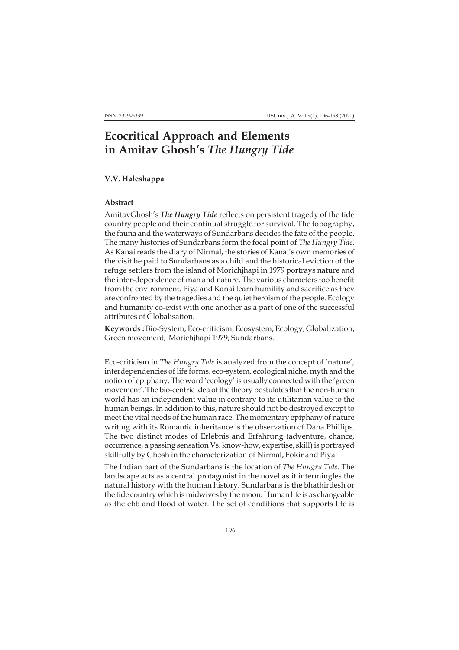## **Ecocritical Approach and Elements in Amitav Ghosh's** *The Hungry Tide*

## **V.V. Haleshappa**

## **Abstract**

AmitavGhosh's *The Hungry Tide* reflects on persistent tragedy of the tide country people and their continual struggle for survival. The topography, the fauna and the waterways of Sundarbans decides the fate of the people. The many histories of Sundarbans form the focal point of *The Hungry Tide*. As Kanai reads the diary of Nirmal, the stories of Kanai's own memories of the visit he paid to Sundarbans as a child and the historical eviction of the refuge settlers from the island of Morichjhapi in 1979 portrays nature and the inter-dependence of man and nature. The various characters too benefit from the environment. Piya and Kanai learn humility and sacrifice as they are confronted by the tragedies and the quiet heroism of the people. Ecology and humanity co-exist with one another as a part of one of the successful attributes of Globalisation.

**Keywords :** Bio-System; Eco-criticism; Ecosystem; Ecology; Globalization; Green movement; Morichjhapi 1979; Sundarbans.

Eco-criticism in *The Hungry Tide* is analyzed from the concept of 'nature', interdependencies of life forms, eco-system, ecological niche, myth and the notion of epiphany. The word 'ecology' is usually connected with the 'green movement'. The bio-centric idea of the theory postulates that the non-human world has an independent value in contrary to its utilitarian value to the human beings. In addition to this, nature should not be destroyed except to meet the vital needs of the human race. The momentary epiphany of nature writing with its Romantic inheritance is the observation of Dana Phillips. The two distinct modes of Erlebnis and Erfahrung (adventure, chance, occurrence, a passing sensation Vs. know-how, expertise, skill) is portrayed skillfully by Ghosh in the characterization of Nirmal, Fokir and Piya.

The Indian part of the Sundarbans is the location of *The Hungry Tide*. The landscape acts as a central protagonist in the novel as it intermingles the natural history with the human history. Sundarbans is the bhathirdesh or the tide country which is midwives by the moon. Human life is as changeable as the ebb and flood of water. The set of conditions that supports life is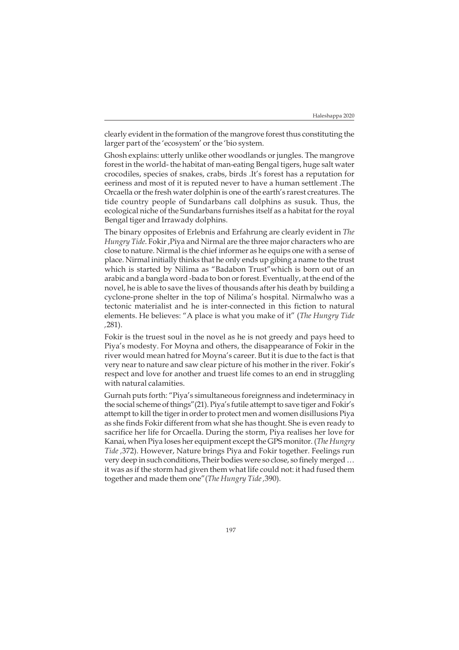clearly evident in the formation of the mangrove forest thus constituting the larger part of the 'ecosystem' or the 'bio system.

Ghosh explains: utterly unlike other woodlands or jungles. The mangrove forest in the world- the habitat of man-eating Bengal tigers, huge salt water crocodiles, species of snakes, crabs, birds .It's forest has a reputation for eeriness and most of it is reputed never to have a human settlement .The Orcaella or the fresh water dolphin is one of the earth's rarest creatures. The tide country people of Sundarbans call dolphins as susuk. Thus, the ecological niche of the Sundarbans furnishes itself as a habitat for the royal Bengal tiger and Irrawady dolphins.

The binary opposites of Erlebnis and Erfahrung are clearly evident in *The Hungry Tide*. Fokir ,Piya and Nirmal are the three major characters who are close to nature. Nirmal is the chief informer as he equips one with a sense of place. Nirmal initially thinks that he only ends up gibing a name to the trust which is started by Nilima as "Badabon Trust"which is born out of an arabic and a bangla word -bada to bon or forest. Eventually, at the end of the novel, he is able to save the lives of thousands after his death by building a cyclone-prone shelter in the top of Nilima's hospital. Nirmalwho was a tectonic materialist and he is inter-connected in this fiction to natural elements. He believes: "A place is what you make of it" (*The Hungry Tide ,*281).

Fokir is the truest soul in the novel as he is not greedy and pays heed to Piya's modesty. For Moyna and others, the disappearance of Fokir in the river would mean hatred for Moyna's career. But it is due to the fact is that very near to nature and saw clear picture of his mother in the river. Fokir's respect and love for another and truest life comes to an end in struggling with natural calamities.

Gurnah puts forth: "Piya's simultaneous foreignness and indeterminacy in the social scheme of things"(21). Piya's futile attempt to save tiger and Fokir's attempt to kill the tiger in order to protect men and women disillusions Piya as she finds Fokir different from what she has thought. She is even ready to sacrifice her life for Orcaella. During the storm, Piya realises her love for Kanai, when Piya loses her equipment except the GPS monitor. (*The Hungry Tide ,*372). However, Nature brings Piya and Fokir together. Feelings run very deep in such conditions, Their bodies were so close, so finely merged … it was as if the storm had given them what life could not: it had fused them together and made them one"(*The Hungry Tide ,*390).